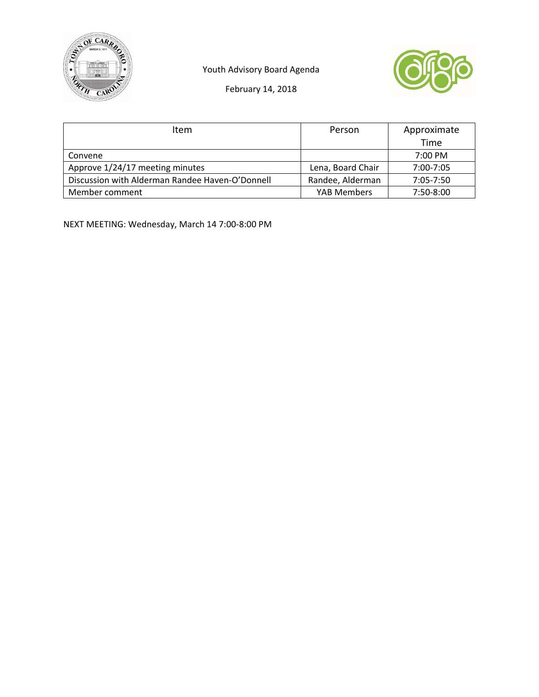





February 14, 2018

| Item                                            | Person             | Approximate       |
|-------------------------------------------------|--------------------|-------------------|
|                                                 |                    | Time              |
| Convene                                         |                    | $7:00 \text{ PM}$ |
| Approve 1/24/17 meeting minutes                 | Lena, Board Chair  | 7:00-7:05         |
| Discussion with Alderman Randee Haven-O'Donnell | Randee, Alderman   | $7:05 - 7:50$     |
| Member comment                                  | <b>YAB Members</b> | 7:50-8:00         |

NEXT MEETING: Wednesday, March 14 7:00‐8:00 PM